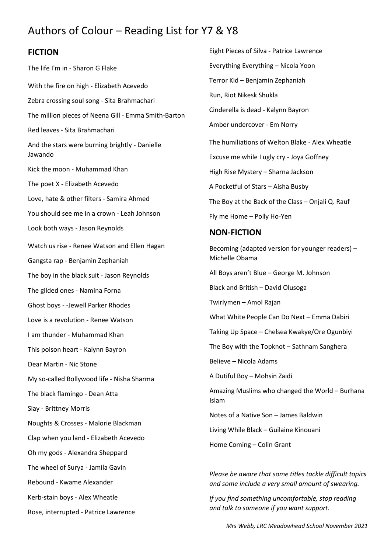## Authors of Colour – Reading List for Y7 & Y8

## **FICTION**

The life I'm in - Sharon G Flake With the fire on high - Elizabeth Acevedo Zebra crossing soul song - Sita Brahmachari The million pieces of Neena Gill - Emma Smith-Barton Red leaves - Sita Brahmachari And the stars were burning brightly - Danielle Jawando Kick the moon - Muhammad Khan The poet X - Elizabeth Acevedo Love, hate & other filters - Samira Ahmed You should see me in a crown - Leah Johnson Look both ways - Jason Reynolds Watch us rise - Renee Watson and Ellen Hagan Gangsta rap - Benjamin Zephaniah The boy in the black suit - Jason Reynolds The gilded ones - Namina Forna Ghost boys - -Jewell Parker Rhodes Love is a revolution - Renee Watson I am thunder - Muhammad Khan This poison heart - Kalynn Bayron Dear Martin - Nic Stone My so-called Bollywood life - Nisha Sharma The black flamingo - Dean Atta Slay - Brittney Morris Noughts & Crosses - Malorie Blackman Clap when you land - Elizabeth Acevedo Oh my gods - Alexandra Sheppard The wheel of Surya - Jamila Gavin Rebound - Kwame Alexander Kerb-stain boys - Alex Wheatle Rose, interrupted - Patrice Lawrence

Eight Pieces of Silva - Patrice Lawrence Everything Everything – Nicola Yoon Terror Kid – Benjamin Zephaniah Run, Riot Nikesk Shukla Cinderella is dead - Kalynn Bayron Amber undercover - Em Norry The humiliations of Welton Blake - Alex Wheatle Excuse me while I ugly cry - Joya Goffney High Rise Mystery – Sharna Jackson A Pocketful of Stars – Aisha Busby The Boy at the Back of the Class – Onjali Q. Rauf Fly me Home – Polly Ho-Yen

## **NON-FICTION**

Becoming (adapted version for younger readers) – Michelle Obama All Boys aren't Blue – George M. Johnson Black and British – David Olusoga Twirlymen – Amol Rajan What White People Can Do Next – Emma Dabiri Taking Up Space – Chelsea Kwakye/Ore Ogunbiyi The Boy with the Topknot – Sathnam Sanghera Believe – Nicola Adams A Dutiful Boy – Mohsin Zaidi Amazing Muslims who changed the World – Burhana Islam Notes of a Native Son – James Baldwin Living While Black – Guilaine Kinouani Home Coming – Colin Grant *Please be aware that some titles tackle difficult topics* 

*If you find something uncomfortable, stop reading and talk to someone if you want support.*

*and some include a very small amount of swearing.*